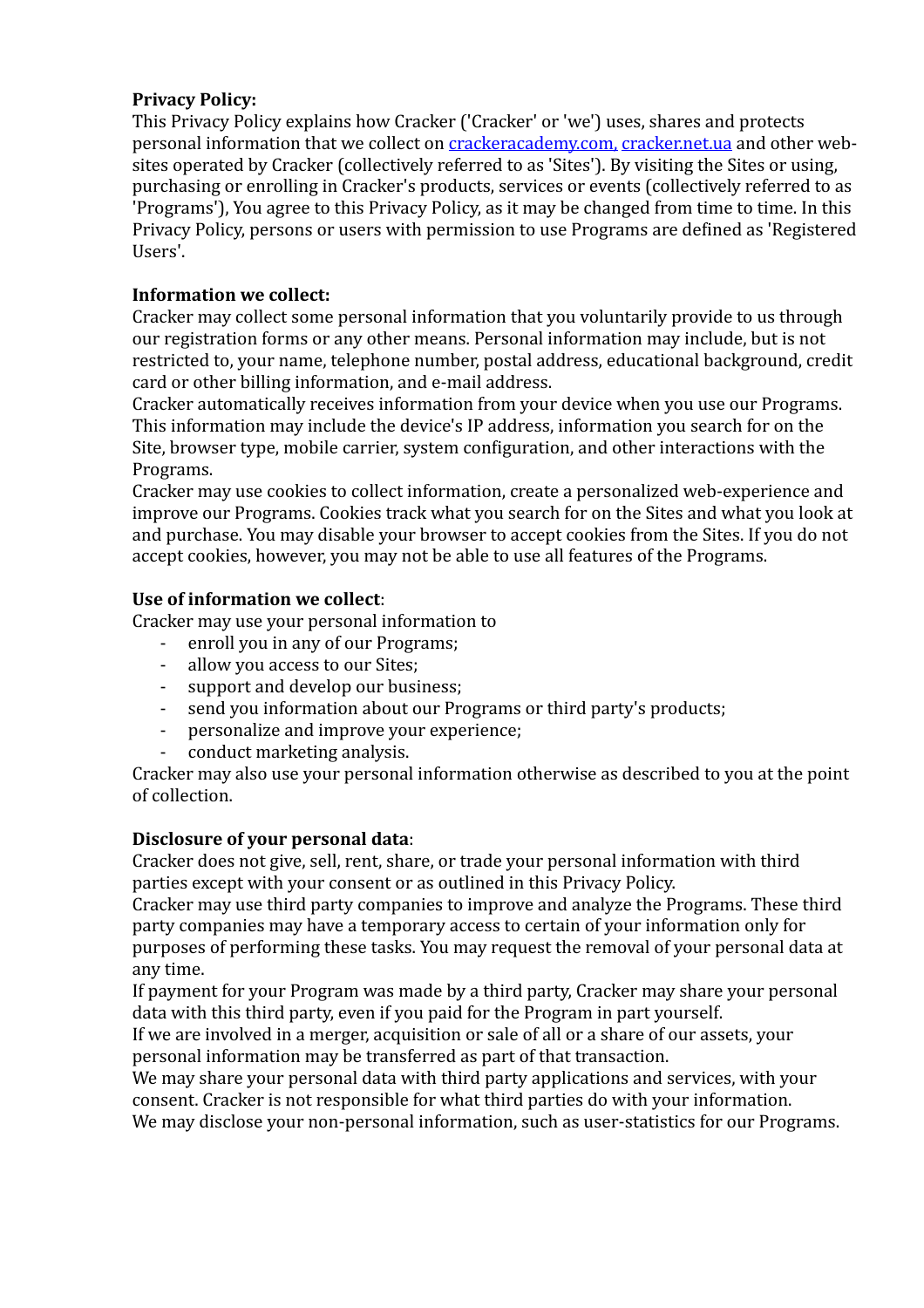# **Privacy Policy:**

This Privacy Policy explains how Cracker ('Cracker' or 'we') uses, shares and protects personal information that we collect on [crackeracademy.com](http://crackeracademy.com)[,](http://www.apple.com/ru) cracker.net.ua and other websites operated by Cracker (collectively referred to as 'Sites'). By visiting the Sites or using, purchasing or enrolling in Cracker's products, services or events (collectively referred to as 'Programs'), You agree to this Privacy Policy, as it may be changed from time to time. In this Privacy Policy, persons or users with permission to use Programs are defined as 'Registered Users'.

# **Information** we collect:

Cracker may collect some personal information that you voluntarily provide to us through our registration forms or any other means. Personal information may include, but is not restricted to, your name, telephone number, postal address, educational background, credit card or other billing information, and e-mail address.

Cracker automatically receives information from your device when you use our Programs. This information may include the device's IP address, information you search for on the Site, browser type, mobile carrier, system configuration, and other interactions with the Programs.

Cracker may use cookies to collect information, create a personalized web-experience and improve our Programs. Cookies track what you search for on the Sites and what you look at and purchase. You may disable your browser to accept cookies from the Sites. If you do not accept cookies, however, you may not be able to use all features of the Programs.

## Use of information we collect:

Cracker may use your personal information to

- enroll you in any of our Programs;
- allow you access to our Sites;
- support and develop our business;
- send you information about our Programs or third party's products;
- personalize and improve your experience;
- conduct marketing analysis.

Cracker may also use your personal information otherwise as described to you at the point of collection. 

## **Disclosure of your personal data:**

Cracker does not give, sell, rent, share, or trade vour personal information with third parties except with your consent or as outlined in this Privacy Policy.

Cracker may use third party companies to improve and analyze the Programs. These third party companies may have a temporary access to certain of your information only for purposes of performing these tasks. You may request the removal of your personal data at any time.

If payment for your Program was made by a third party, Cracker may share your personal data with this third party, even if you paid for the Program in part yourself.

If we are involved in a merger, acquisition or sale of all or a share of our assets, your personal information may be transferred as part of that transaction.

We may share your personal data with third party applications and services, with your consent. Cracker is not responsible for what third parties do with your information. We may disclose your non-personal information, such as user-statistics for our Programs.